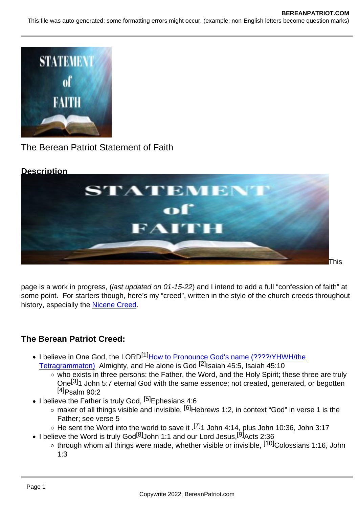## The Berean Patriot Statement of Faith

**Description** 

This

page is a work in progress, (last updated on 01-15-22) and I intend to add a full "confession of faith" at some point. For starters though, here's my "creed", written in the style of the church creeds throughout history, especially the [Nicene Creed](https://www.crcna.org/welcome/beliefs/creeds/nicene-creed).

## The Berean Patriot Creed:

- I believe in One God, the LORD<sup>[1]</sup>How to Pronounce God's name (????/YHWH/the [Tetragrammaton\)](https://www.bereanpatriot.com/how-to-pronounce-gods-name-יהוה-yhwh-the-tetragrammaton/) Almighty, and He alone is God <sup>[2]</sup>Isaiah 45:5, Isaiah 45:10
	- $\overline{\bullet}$  who exists in three persons: the Father, the Word, and the Holy Spirit; these three are truly One<sup>[3]</sup>1 John 5:7 eternal God with the same essence; not created, generated, or begotten  $[4]$ Psalm 90:2
- $\bullet$  I believe the Father is truly God,  $[5]$ Ephesians 4:6
	- $\circ$  maker of all things visible and invisible,  $[6]$ Hebrews 1:2, in context "God" in verse 1 is the Father; see verse 5
	- $\circ$  He sent the Word into the world to save it .<sup>[7]</sup>1 John 4:14, plus John 10:36, John 3:17
- I believe the Word is truly God<sup>[8]</sup>John 1:1 and our Lord Jesus,<sup>[9]</sup>Acts 2:36
	- $\circ$  through whom all things were made, whether visible or invisible,  $[10]$ Colossians 1:16, John 1:3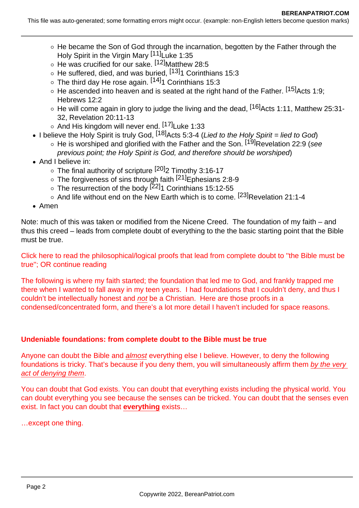This file was auto-generated; some formatting errors might occur. (example: non-English letters become question marks)

- $\circ$  He became the Son of God through the incarnation, begotten by the Father through the Holy Spirit in the Virgin Mary [11]Luke 1:35
- o He was crucified for our sake. [12] Matthew 28:5
- $\circ$  He suffered, died, and was buried,  $[13]$ 1 Corinthians 15:3
- $\circ$  The third day He rose again.  $[14]_1$  Corinthians 15:3
- $\circ$  He ascended into heaven and is seated at the right hand of the Father. [15] Acts 1:9; Hebrews 12:2
- $\circ$  He will come again in glory to judge the living and the dead, <sup>[16]</sup>Acts 1:11, Matthew 25:31-32, Revelation 20:11-13
- $\circ$  And His kingdom will never end.  $[17]$ Luke 1:33
- I believe the Holy Spirit is truly God,  $[18]$ Acts 5:3-4 (Lied to the Holy Spirit = lied to God)
	- $\circ$  He is worshiped and glorified with the Father and the Son. [19] Revelation 22:9 (see previous point; the Holy Spirit is God, and therefore should be worshiped)
- And I believe in:
	- $\circ$  The final authority of scripture  $[20]$ 2 Timothy 3:16-17
	- The forgiveness of sins through faith <sup>[21]</sup>Ephesians 2:8-9
	- The resurrection of the body <sup>[22]</sup>1 Corinthians 15:12-55
	- $\circ$  And life without end on the New Earth which is to come.  $[23]$ Revelation 21:1-4
- Amen

Note: much of this was taken or modified from the Nicene Creed. The foundation of my faith – and thus this creed – leads from complete doubt of everything to the the basic starting point that the Bible must be true.

Click here to read the philosophical/logical proofs that lead from complete doubt to ''the Bible must be true''; OR continue reading

The following is where my faith started; the foundation that led me to God, and frankly trapped me there when I wanted to fall away in my teen years. I had foundations that I couldn't deny, and thus I couldn't be intellectually honest and not be a Christian. Here are those proofs in a condensed/concentrated form, and there's a lot more detail I haven't included for space reasons.

## **Undeniable foundations: from complete doubt to the Bible must be true**

Anyone can doubt the Bible and almost everything else I believe. However, to deny the following foundations is tricky. That's because if you deny them, you will simultaneously affirm them by the very act of denying them.

You can doubt that God exists. You can doubt that everything exists including the physical world. You can doubt everything you see because the senses can be tricked. You can doubt that the senses even exist. In fact you can doubt that **everything** exists…

…except one thing.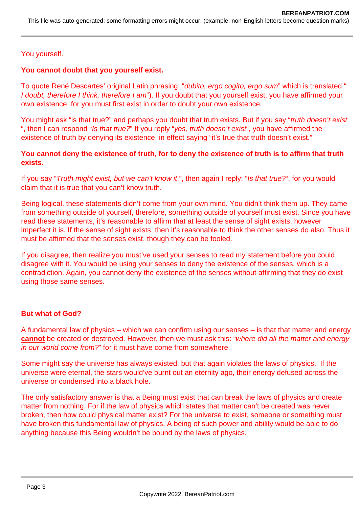## You yourself.

## **You cannot doubt that you yourself exist.**

To quote René Descartes' original Latin phrasing: "dubito, ergo cogito, ergo sum" which is translated " I doubt, therefore I think, therefore I am"). If you doubt that you yourself exist, you have affirmed your own existence, for you must first exist in order to doubt your own existence.

You might ask "is that true?" and perhaps you doubt that truth exists. But if you say "truth doesn't exist ", then I can respond "Is that true?" If you reply "yes, truth doesn't exist", you have affirmed the existence of truth by denying its existence, in effect saying "it's true that truth doesn't exist."

## **You cannot deny the existence of truth, for to deny the existence of truth is to affirm that truth exists.**

If you say "Truth might exist, but we can't know it.", then again I reply: "Is that true?", for you would claim that it is true that you can't know truth.

Being logical, these statements didn't come from your own mind. You didn't think them up. They came from something outside of yourself, therefore, something outside of yourself must exist. Since you have read these statements, it's reasonable to affirm that at least the sense of sight exists, however imperfect it is. If the sense of sight exists, then it's reasonable to think the other senses do also. Thus it must be affirmed that the senses exist, though they can be fooled.

If you disagree, then realize you must've used your senses to read my statement before you could disagree with it. You would be using your senses to deny the existence of the senses, which is a contradiction. Again, you cannot deny the existence of the senses without affirming that they do exist using those same senses.

#### **But what of God?**

A fundamental law of physics – which we can confirm using our senses – is that that matter and energy **cannot** be created or destroyed. However, then we must ask this: "where did all the matter and energy in our world come from?" for it must have come from somewhere.

Some might say the universe has always existed, but that again violates the laws of physics. If the universe were eternal, the stars would've burnt out an eternity ago, their energy defused across the universe or condensed into a black hole.

The only satisfactory answer is that a Being must exist that can break the laws of physics and create matter from nothing. For if the law of physics which states that matter can't be created was never broken, then how could physical matter exist? For the universe to exist, someone or something must have broken this fundamental law of physics. A being of such power and ability would be able to do anything because this Being wouldn't be bound by the laws of physics.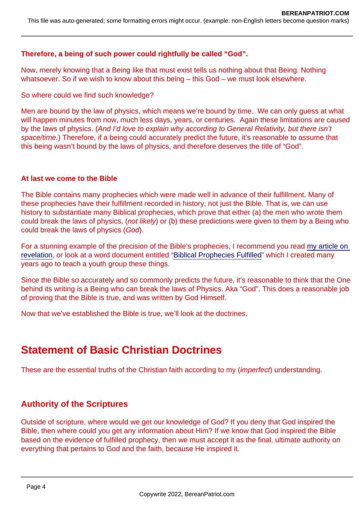Therefore, a being of such power could rightfully be called "God".

Now, merely knowing that a Being like that must exist tells us nothing about that Being. Nothing whatsoever. So if we wish to know about this being – this God – we must look elsewhere.

So where could we find such knowledge?

Men are bound by the law of physics, which means we're bound by time. We can only guess at what will happen minutes from now, much less days, years, or centuries. Again these limitations are caused by the laws of physics. (And I'd love to explain why according to General Relativity, but there isn't space/time.) Therefore, if a being could accurately predict the future, it's reasonable to assume that this being wasn't bound by the laws of physics, and therefore deserves the title of "God".

## At last we come to the Bible

The Bible contains many prophecies which were made well in advance of their fulfillment. Many of these prophecies have their fulfillment recorded in history, not just the Bible. That is, we can use history to substantiate many Biblical prophecies, which prove that either (a) the men who wrote them could break the laws of physics, (not likely) or (b) these predictions were given to them by a Being who could break the laws of physics (God).

For a stunning example of the precision of the Bible's prophecies, I recommend you read [my article on](https://www.bereanpatriot.com/revelation-matthew-24-and-why-context-is-crucial/)  [revelation](https://www.bereanpatriot.com/revelation-matthew-24-and-why-context-is-crucial/), or look at a word document entitled "[Biblical Prophecies Fulfilled"](https://www.bereanpatriot.com/wp-content/uploads/2022/01/Biblical-Prophecies-Fulfilled.rtf) which I created many years ago to teach a youth group these things.

Since the Bible so accurately and so commonly predicts the future, it's reasonable to think that the One behind its writing is a Being who can break the laws of Physics. Aka "God". This does a reasonable job of proving that the Bible is true, and was written by God Himself.

Now that we've established the Bible is true, we'll look at the doctrines.

# Statement of Basic Christian Doctrines

These are the essential truths of the Christian faith according to my (imperfect) understanding.

## Authority of the Scriptures

Outside of scripture, where would we get our knowledge of God? If you deny that God inspired the Bible, then where could you get any information about Him? If we know that God inspired the Bible based on the evidence of fulfilled prophecy, then we must accept it as the final, ultimate authority on everything that pertains to God and the faith, because He inspired it.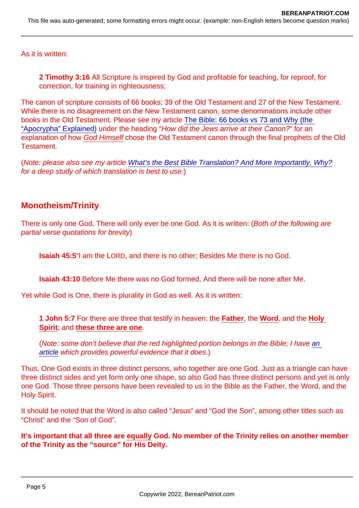As it is written:

2 Timothy 3:16 All Scripture is inspired by God and profitable for teaching, for reproof, for correction, for training in righteousness;

The canon of scripture consists of 66 books; 39 of the Old Testament and 27 of the New Testament. While there is no disagreement on the New Testament canon, some denominations include other books in the Old Testament. Please see my article [The Bible: 66 books vs 73 and Why \(the](https://www.bereanpatriot.com/the-bible-66-books-vs-73-and-why-the-apocrypha-explained/)  ["Apocrypha" Explained\)](https://www.bereanpatriot.com/the-bible-66-books-vs-73-and-why-the-apocrypha-explained/) under the heading "How did the Jews arrive at their Canon?" for an explanation of how God Himself chose the Old Testament canon through the final prophets of the Old **Testament** 

(Note: please also see my article [What's the Best Bible Translation? And More Importantly, Why?](https://www.bereanpatriot.com/whats-the-best-bible-translation-and-more-importantly-why/) for a deep study of which translation is best to use.)

## Monotheism/Trinity

There is only one God. There will only ever be one God. As it is written: (Both of the following are partial verse quotations for brevity)

Isaiah 45: 5"I am the LORD, and there is no other; Besides Me there is no God.

Isaiah 43:10 Before Me there was no God formed, And there will be none after Me.

Yet while God is One, there is plurality in God as well. As it is written:

1 John 5:7 For there are three that testify in heaven: the Father, the Word , and the Holy Spirit ; and these three are one.

(Note: some don't believe that the red highlighted portion belongs in the Bible; I have [an](https://www.bereanpatriot.com/the-johannine-comma-of-1-john-57-8-added-or-removed/)  [article](https://www.bereanpatriot.com/the-johannine-comma-of-1-john-57-8-added-or-removed/) which provides powerful evidence that it does.)

Thus, One God exists in three distinct persons, who together are one God. Just as a triangle can have three distinct sides and yet form only one shape, so also God has three distinct persons and yet is only one God. Those three persons have been revealed to us in the Bible as the Father, the Word, and the Holy Spirit.

It should be noted that the Word is also called "Jesus" and "God the Son", among other titles such as "Christ" and the "Son of God".

It's important that all three are equally God. No member of the Trinity relies on another member of the Trinity as the "source" for His Deity.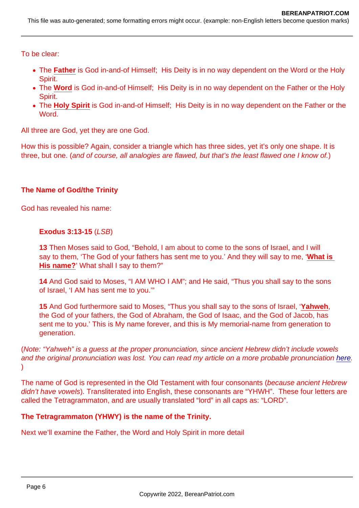To be clear:

- The Father is God in-and-of Himself; His Deity is in no way dependent on the Word or the Holy Spirit.
- The Word is God in-and-of Himself; His Deity is in no way dependent on the Father or the Holy Spirit.
- The Holy Spirit is God in-and-of Himself; His Deity is in no way dependent on the Father or the Word.

All three are God, yet they are one God.

How this is possible? Again, consider a triangle which has three sides, yet it's only one shape. It is three, but one. (and of course, all analogies are flawed, but that's the least flawed one I know of.)

The Name of God/the Trinity

God has revealed his name:

Exodus 3:13-15 (LSB)

13 Then Moses said to God, "Behold, I am about to come to the sons of Israel, and I will say to them, 'The God of your fathers has sent me to you.' And they will say to me, 'What is His name? ' What shall I say to them?"

14 And God said to Moses, "I AM WHO I AM"; and He said, "Thus you shall say to the sons of Israel, 'I AM has sent me to you.'"

15 And God furthermore said to Moses, "Thus you shall say to the sons of Israel, 'Yahweh , the God of your fathers, the God of Abraham, the God of Isaac, and the God of Jacob, has sent me to you.' This is My name forever, and this is My memorial-name from generation to generation.

(Note: "Yahweh" is a guess at the proper pronunciation, since ancient Hebrew didn't include vowels and the original pronunciation was lost. You can read my article on a more probable pronunciation [here.](https://www.bereanpatriot.com/how-to-pronounce-gods-name-יהוה-yhwh-the-tetragrammaton/)  $\lambda$ 

The name of God is represented in the Old Testament with four consonants (because ancient Hebrew didn't have vowels). Transliterated into English, these consonants are "YHWH". These four letters are called the Tetragrammaton, and are usually translated "lord" in all caps as: "LORD".

The Tetragrammaton (YHWY) is the name of the Trinity.

Next we'll examine the Father, the Word and Holy Spirit in more detail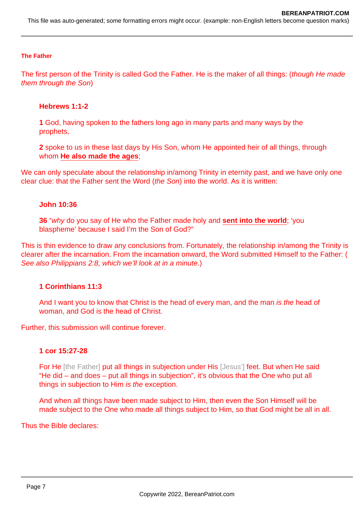This file was auto-generated; some formatting errors might occur. (example: non-English letters become question marks)

#### **The Father**

The first person of the Trinity is called God the Father. He is the maker of all things: (though He made them through the Son)

#### **Hebrews 1:1-2**

**1** God, having spoken to the fathers long ago in many parts and many ways by the prophets,

**2** spoke to us in these last days by His Son, whom He appointed heir of all things, through whom **He also made the ages**;

We can only speculate about the relationship in/among Trinity in eternity past, and we have only one clear clue: that the Father sent the Word (the Son) into the world. As it is written:

#### **John 10:36**

**36** "why do you say of He who the Father made holy and **sent into the world**; 'you blaspheme' because I said I'm the Son of God?"

This is thin evidence to draw any conclusions from. Fortunately, the relationship in/among the Trinity is clearer after the incarnation. From the incarnation onward, the Word submitted Himself to the Father: ( See also Philippians 2:8, which we'll look at in a minute.)

#### **1 Corinthians 11:3**

And I want you to know that Christ is the head of every man, and the man is the head of woman, and God is the head of Christ.

Further, this submission will continue forever.

#### **1 cor 15:27-28**

For He [the Father] put all things in subjection under His [Jesus'] feet. But when He said "He did – and does – put all things in subjection", it's obvious that the One who put all things in subjection to Him is the exception.

And when all things have been made subject to Him, then even the Son Himself will be made subject to the One who made all things subject to Him, so that God might be all in all.

Thus the Bible declares: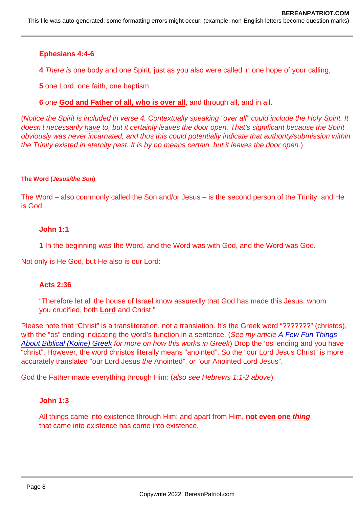Ephesians 4:4-6

4 There is one body and one Spirit, just as you also were called in one hope of your calling,

5 one Lord, one faith, one baptism,

6 one God and Father of all, who is over all, and through all, and in all.

(Notice the Spirit is included in verse 4. Contextually speaking "over all" could include the Holy Spirit. It doesn't necessarily have to, but it certainly leaves the door open. That's significant because the Spirit obviously was never incarnated, and thus this could potentially indicate that authority/submission within the Trinity existed in eternity past. It is by no means certain, but it leaves the door open.)

The Word ( Jesus/the Son )

The Word – also commonly called the Son and/or Jesus – is the second person of the Trinity, and He is God.

John 1:1

1 In the beginning was the Word, and the Word was with God, and the Word was God.

Not only is He God, but He also is our Lord:

Acts 2:36

"Therefore let all the house of Israel know assuredly that God has made this Jesus, whom you crucified, both Lord and Christ."

Please note that "Christ" is a transliteration, not a translation. It's the Greek word "???????" (christos), with the "os" ending indicating the word's function in a sentence. (See my article A Few Fun Things [About Biblical \(Koine\) Greek](https://www.bereanpatriot.com/a-few-fun-things-about-biblical-koine-greek/) for more on how this works in Greek) Drop the 'os' ending and you have "christ". However, the word christos literally means "anointed". So the "our Lord Jesus Christ" is more accurately translated "our Lord Jesus the Anointed", or "our Anointed Lord Jesus".

God the Father made everything through Him: (also see Hebrews 1:1-2 above)

John 1:3

All things came into existence through Him; and apart from Him, not even one thing that came into existence has come into existence.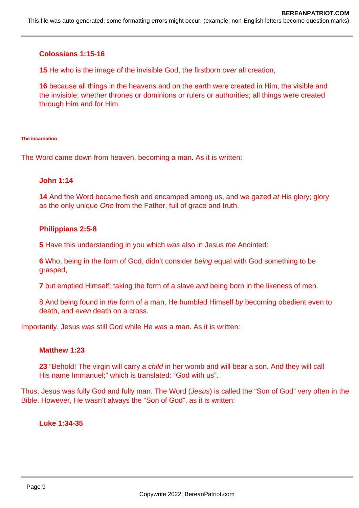## **Colossians 1:15-16**

**15** He who is the image of the invisible God, the firstborn over all creation,

**16** because all things in the heavens and on the earth were created in Him, the visible and the invisible; whether thrones or dominions or rulers or authorities; all things were created through Him and for Him.

#### **The incarnation**

The Word came down from heaven, becoming a man. As it is written:

#### **John 1:14**

**14** And the Word became flesh and encamped among us, and we gazed at His glory; glory as the only unique One from the Father, full of grace and truth.

#### **Philippians 2:5-8**

**5** Have this understanding in you which was also in Jesus the Anointed:

**6** Who, being in the form of God, didn't consider being equal with God something to be grasped,

**7** but emptied Himself; taking the form of a slave and being born in the likeness of men.

8 And being found in the form of a man, He humbled Himself by becoming obedient even to death, and even death on a cross.

Importantly, Jesus was still God while He was a man. As it is written:

#### **Matthew 1:23**

**23** "Behold! The virgin will carry a child in her womb and will bear a son. And they will call His name Immanuel;" which is translated: "God with us".

Thus, Jesus was fully God and fully man. The Word (Jesus) is called the "Son of God" very often in the Bible. However, He wasn't always the "Son of God", as it is written:

**Luke 1:34-35**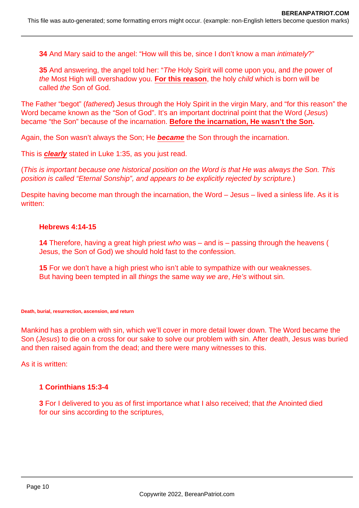**34** And Mary said to the angel: "How will this be, since I don't know a man *intimately*?"

**35** And answering, the angel told her: "The Holy Spirit will come upon you, and the power of the Most High will overshadow you. **For this reason**, the holy child which is born will be called the Son of God.

The Father "begot" (fathered) Jesus through the Holy Spirit in the virgin Mary, and "for this reason" the Word became known as the "Son of God". It's an important doctrinal point that the Word (Jesus) became "the Son" because of the incarnation. **Before the incarnation, He wasn't the Son.**

Again, the Son wasn't always the Son; He **became** the Son through the incarnation.

This is **clearly** stated in Luke 1:35, as you just read.

(This is important because one historical position on the Word is that He was always the Son. This position is called "Eternal Sonship", and appears to be explicitly rejected by scripture.)

Despite having become man through the incarnation, the Word – Jesus – lived a sinless life. As it is written:

## **Hebrews 4:14-15**

**14** Therefore, having a great high priest who was – and is – passing through the heavens ( Jesus, the Son of God) we should hold fast to the confession.

**15** For we don't have a high priest who isn't able to sympathize with our weaknesses. But having been tempted in all things the same way we are, He's without sin.

#### **Death, burial, resurrection, ascension, and return**

Mankind has a problem with sin, which we'll cover in more detail lower down. The Word became the Son (Jesus) to die on a cross for our sake to solve our problem with sin. After death, Jesus was buried and then raised again from the dead; and there were many witnesses to this.

As it is written:

## **1 Corinthians 15:3-4**

**3** For I delivered to you as of first importance what I also received; that the Anointed died for our sins according to the scriptures,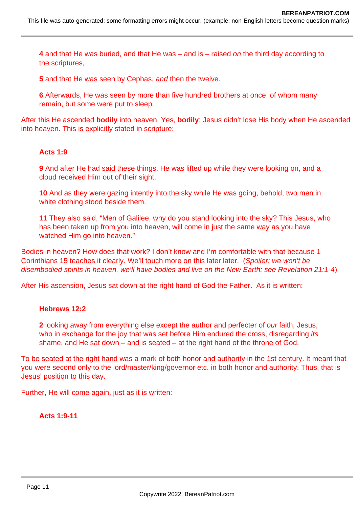This file was auto-generated; some formatting errors might occur. (example: non-English letters become question marks)

**4** and that He was buried, and that He was – and is – raised on the third day according to the scriptures,

**5** and that He was seen by Cephas, and then the twelve.

**6** Afterwards, He was seen by more than five hundred brothers at once; of whom many remain, but some were put to sleep.

After this He ascended **bodily** into heaven. Yes, **bodily**; Jesus didn't lose His body when He ascended into heaven. This is explicitly stated in scripture:

#### **Acts 1:9**

**9** And after He had said these things, He was lifted up while they were looking on, and a cloud received Him out of their sight.

**10** And as they were gazing intently into the sky while He was going, behold, two men in white clothing stood beside them.

**11** They also said, "Men of Galilee, why do you stand looking into the sky? This Jesus, who has been taken up from you into heaven, will come in just the same way as you have watched Him go into heaven."

Bodies in heaven? How does that work? I don't know and I'm comfortable with that because 1 Corinthians 15 teaches it clearly. We'll touch more on this later later. (Spoiler: we won't be disembodied spirits in heaven, we'll have bodies and live on the New Earth: see Revelation 21:1-4)

After His ascension, Jesus sat down at the right hand of God the Father. As it is written:

#### **Hebrews 12:2**

**2** looking away from everything else except the author and perfecter of our faith, Jesus, who in exchange for the joy that was set before Him endured the cross, disregarding *its* shame, and He sat down  $-$  and is seated  $-$  at the right hand of the throne of God.

To be seated at the right hand was a mark of both honor and authority in the 1st century. It meant that you were second only to the lord/master/king/governor etc. in both honor and authority. Thus, that is Jesus' position to this day.

Further, He will come again, just as it is written:

#### **Acts 1:9-11**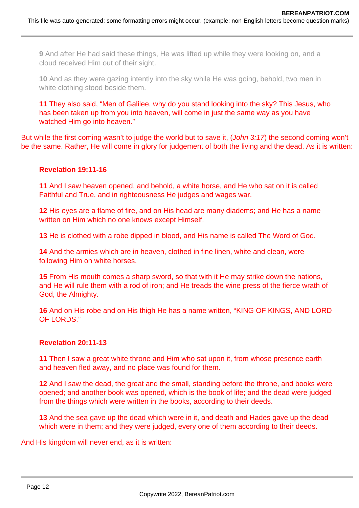**9** And after He had said these things, He was lifted up while they were looking on, and a cloud received Him out of their sight.

**10** And as they were gazing intently into the sky while He was going, behold, two men in white clothing stood beside them.

**11** They also said, "Men of Galilee, why do you stand looking into the sky? This Jesus, who has been taken up from you into heaven, will come in just the same way as you have watched Him go into heaven."

But while the first coming wasn't to judge the world but to save it, (John 3:17) the second coming won't be the same. Rather, He will come in glory for judgement of both the living and the dead. As it is written:

## **Revelation 19:11-16**

**11** And I saw heaven opened, and behold, a white horse, and He who sat on it is called Faithful and True, and in righteousness He judges and wages war.

**12** His eyes are a flame of fire, and on His head are many diadems; and He has a name written on Him which no one knows except Himself.

**13** He is clothed with a robe dipped in blood, and His name is called The Word of God.

**14** And the armies which are in heaven, clothed in fine linen, white and clean, were following Him on white horses.

**15** From His mouth comes a sharp sword, so that with it He may strike down the nations, and He will rule them with a rod of iron; and He treads the wine press of the fierce wrath of God, the Almighty.

**16** And on His robe and on His thigh He has a name written, "KING OF KINGS, AND LORD OF LORDS."

#### **Revelation 20:11-13**

**11** Then I saw a great white throne and Him who sat upon it, from whose presence earth and heaven fled away, and no place was found for them.

**12** And I saw the dead, the great and the small, standing before the throne, and books were opened; and another book was opened, which is the book of life; and the dead were judged from the things which were written in the books, according to their deeds.

**13** And the sea gave up the dead which were in it, and death and Hades gave up the dead which were in them; and they were judged, every one of them according to their deeds.

And His kingdom will never end, as it is written: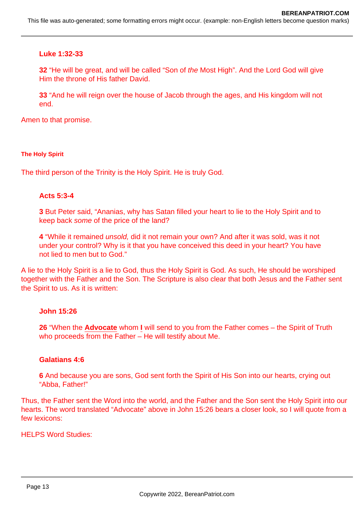## **Luke 1:32-33**

**32** "He will be great, and will be called "Son of the Most High". And the Lord God will give Him the throne of His father David.

**33** "And he will reign over the house of Jacob through the ages, and His kingdom will not end.

Amen to that promise.

#### **The Holy Spirit**

The third person of the Trinity is the Holy Spirit. He is truly God.

#### **Acts 5:3-4**

**3** But Peter said, "Ananias, why has Satan filled your heart to lie to the Holy Spirit and to keep back some of the price of the land?

**4** "While it remained unsold, did it not remain your own? And after it was sold, was it not under your control? Why is it that you have conceived this deed in your heart? You have not lied to men but to God."

A lie to the Holy Spirit is a lie to God, thus the Holy Spirit is God. As such, He should be worshiped together with the Father and the Son. The Scripture is also clear that both Jesus and the Father sent the Spirit to us. As it is written:

#### **John 15:26**

**26** "When the **Advocate** whom **I** will send to you from the Father comes – the Spirit of Truth who proceeds from the Father – He will testify about Me.

#### **Galatians 4:6**

**6** And because you are sons, God sent forth the Spirit of His Son into our hearts, crying out "Abba, Father!"

Thus, the Father sent the Word into the world, and the Father and the Son sent the Holy Spirit into our hearts. The word translated "Advocate" above in John 15:26 bears a closer look, so I will quote from a few lexicons:

HELPS Word Studies: